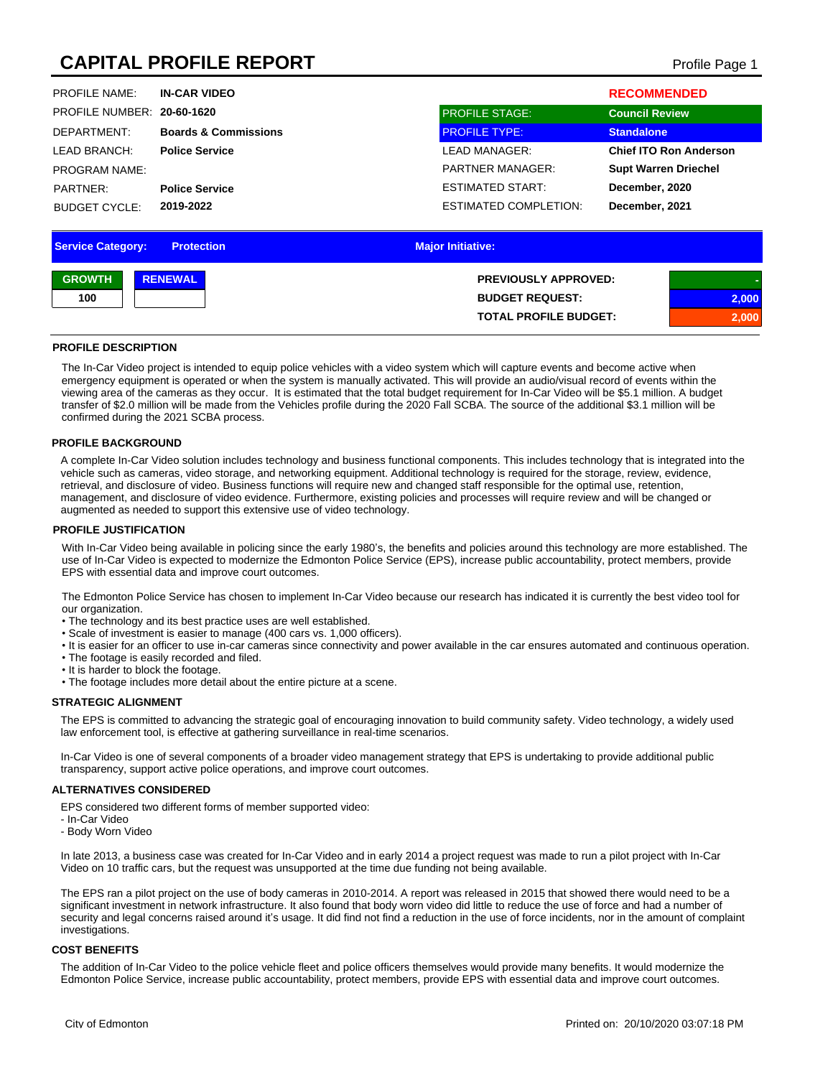# **CAPITAL PROFILE REPORT** Profile Page 1

| <b>PROFILE NAME:</b>       | <b>IN-CAR VIDEO</b>             |                              | <b>RECOMMENDED</b>            |
|----------------------------|---------------------------------|------------------------------|-------------------------------|
| PROFILE NUMBER: 20-60-1620 |                                 | <b>PROFILE STAGE:</b>        | <b>Council Review</b>         |
| DEPARTMENT:                | <b>Boards &amp; Commissions</b> | <b>PROFILE TYPE:</b>         | <b>Standalone</b>             |
| LEAD BRANCH:               | <b>Police Service</b>           | LEAD MANAGER:                | <b>Chief ITO Ron Anderson</b> |
| <b>PROGRAM NAME:</b>       |                                 | <b>PARTNER MANAGER:</b>      | <b>Supt Warren Driechel</b>   |
| PARTNER:                   | <b>Police Service</b>           | ESTIMATED START:             | December, 2020                |
| <b>BUDGET CYCLE:</b>       | 2019-2022                       | <b>ESTIMATED COMPLETION:</b> | December, 2021                |

| <b>Service Category:</b> | <b>Protection</b> | <b>Major Initiative:</b>     |       |
|--------------------------|-------------------|------------------------------|-------|
| <b>GROWTH</b>            | <b>RENEWAL</b>    | <b>PREVIOUSLY APPROVED:</b>  |       |
| 100                      |                   | <b>BUDGET REQUEST:</b>       | 2,000 |
|                          |                   | <b>TOTAL PROFILE BUDGET:</b> | 2,000 |

#### **PROFILE DESCRIPTION**

The In-Car Video project is intended to equip police vehicles with a video system which will capture events and become active when emergency equipment is operated or when the system is manually activated. This will provide an audio/visual record of events within the viewing area of the cameras as they occur. It is estimated that the total budget requirement for In-Car Video will be \$5.1 million. A budget transfer of \$2.0 million will be made from the Vehicles profile during the 2020 Fall SCBA. The source of the additional \$3.1 million will be confirmed during the 2021 SCBA process.

#### **PROFILE BACKGROUND**

A complete In-Car Video solution includes technology and business functional components. This includes technology that is integrated into the vehicle such as cameras, video storage, and networking equipment. Additional technology is required for the storage, review, evidence, retrieval, and disclosure of video. Business functions will require new and changed staff responsible for the optimal use, retention, management, and disclosure of video evidence. Furthermore, existing policies and processes will require review and will be changed or augmented as needed to support this extensive use of video technology.

#### **PROFILE JUSTIFICATION**

With In-Car Video being available in policing since the early 1980's, the benefits and policies around this technology are more established. The use of In-Car Video is expected to modernize the Edmonton Police Service (EPS), increase public accountability, protect members, provide EPS with essential data and improve court outcomes.

The Edmonton Police Service has chosen to implement In-Car Video because our research has indicated it is currently the best video tool for our organization.

- The technology and its best practice uses are well established.
- Scale of investment is easier to manage (400 cars vs. 1,000 officers).
- It is easier for an officer to use in-car cameras since connectivity and power available in the car ensures automated and continuous operation.
- The footage is easily recorded and filed.
- It is harder to block the footage.
- The footage includes more detail about the entire picture at a scene.

#### **STRATEGIC ALIGNMENT**

The EPS is committed to advancing the strategic goal of encouraging innovation to build community safety. Video technology, a widely used law enforcement tool, is effective at gathering surveillance in real-time scenarios.

In-Car Video is one of several components of a broader video management strategy that EPS is undertaking to provide additional public transparency, support active police operations, and improve court outcomes.

### **ALTERNATIVES CONSIDERED**

EPS considered two different forms of member supported video:

- In-Car Video
- Body Worn Video

In late 2013, a business case was created for In-Car Video and in early 2014 a project request was made to run a pilot project with In-Car Video on 10 traffic cars, but the request was unsupported at the time due funding not being available.

The EPS ran a pilot project on the use of body cameras in 2010-2014. A report was released in 2015 that showed there would need to be a significant investment in network infrastructure. It also found that body worn video did little to reduce the use of force and had a number of security and legal concerns raised around it's usage. It did find not find a reduction in the use of force incidents, nor in the amount of complaint investigations.

#### **COST BENEFITS**

The addition of In-Car Video to the police vehicle fleet and police officers themselves would provide many benefits. It would modernize the Edmonton Police Service, increase public accountability, protect members, provide EPS with essential data and improve court outcomes.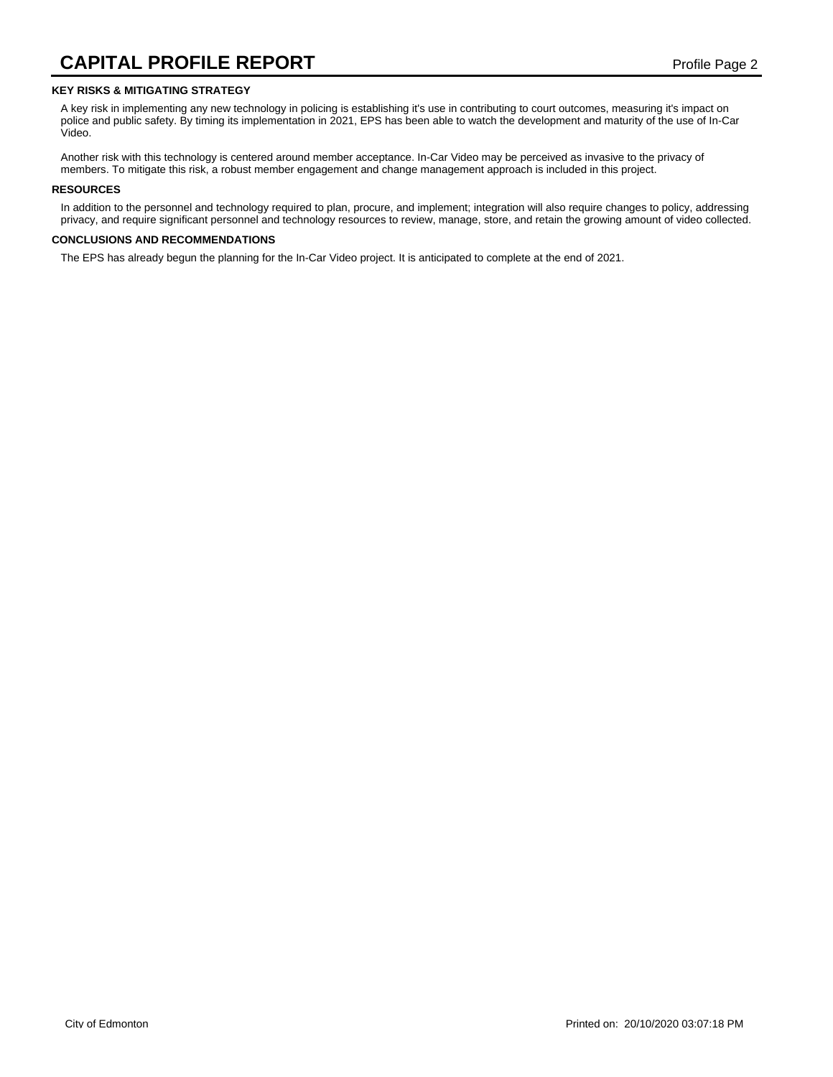### **KEY RISKS & MITIGATING STRATEGY**

A key risk in implementing any new technology in policing is establishing it's use in contributing to court outcomes, measuring it's impact on police and public safety. By timing its implementation in 2021, EPS has been able to watch the development and maturity of the use of In-Car Video.

Another risk with this technology is centered around member acceptance. In-Car Video may be perceived as invasive to the privacy of members. To mitigate this risk, a robust member engagement and change management approach is included in this project.

#### **RESOURCES**

In addition to the personnel and technology required to plan, procure, and implement; integration will also require changes to policy, addressing privacy, and require significant personnel and technology resources to review, manage, store, and retain the growing amount of video collected.

#### **CONCLUSIONS AND RECOMMENDATIONS**

The EPS has already begun the planning for the In-Car Video project. It is anticipated to complete at the end of 2021.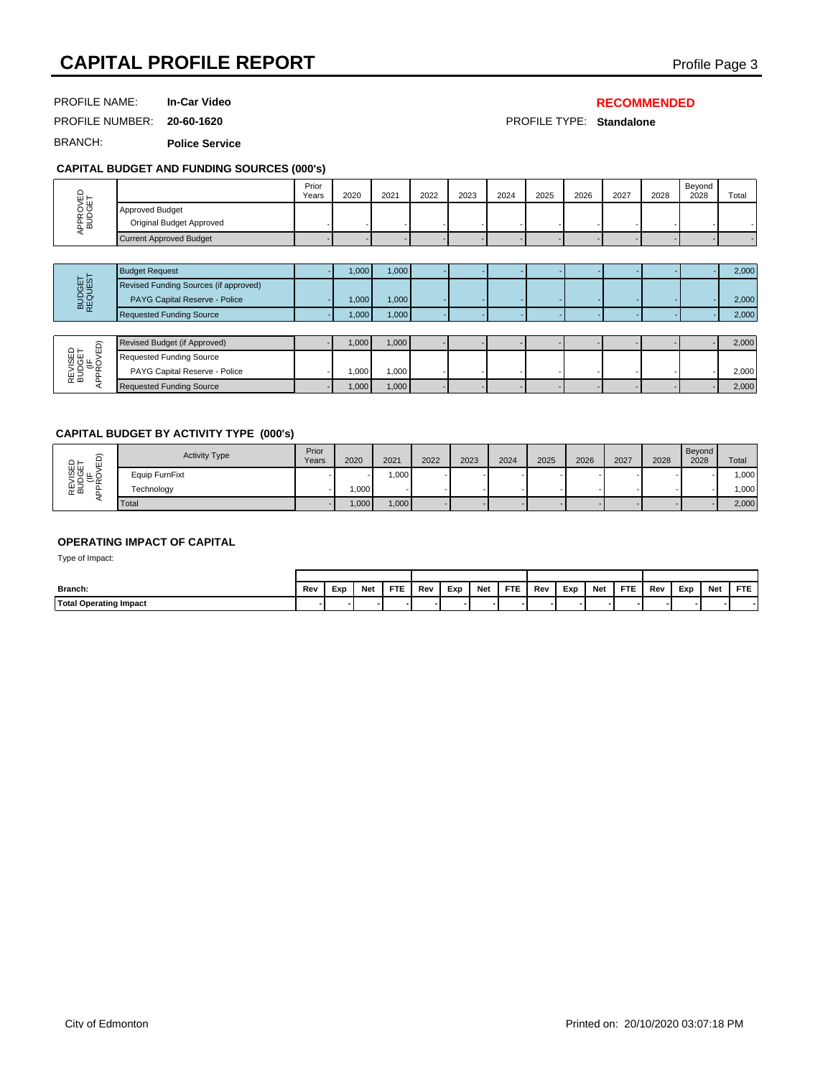# **CAPITAL PROFILE REPORT CAPITAL PROFILE REPORT**

PROFILE NAME: **In-Car Video**

### **RECOMMENDED**

PROFILE NUMBER: **20-60-1620** PROFILE TYPE: **Standalone**

BRANCH: **Police Service**

# **CAPITAL BUDGET AND FUNDING SOURCES (000's)**

| CAPITAL BUDGET AND FUNDING SOURCES (000'S) |                                                                        |                |       |       |      |      |      |      |      |      |      |                |       |
|--------------------------------------------|------------------------------------------------------------------------|----------------|-------|-------|------|------|------|------|------|------|------|----------------|-------|
|                                            |                                                                        | Prior<br>Years | 2020  | 2021  | 2022 | 2023 | 2024 | 2025 | 2026 | 2027 | 2028 | Beyond<br>2028 | Total |
| APPROVED<br>BUDGET                         | Approved Budget<br>Original Budget Approved                            |                |       |       |      |      |      |      |      |      |      |                |       |
|                                            | <b>Current Approved Budget</b>                                         |                |       |       |      |      |      |      |      |      |      |                |       |
|                                            |                                                                        |                |       |       |      |      |      |      |      |      |      |                |       |
|                                            | <b>Budget Request</b>                                                  |                | 1,000 | 1,000 |      |      |      |      |      |      |      |                | 2,000 |
| BUDGET<br>REQUEST                          | Revised Funding Sources (if approved)<br>PAYG Capital Reserve - Police |                | 1,000 | 1,000 |      |      |      |      |      |      |      |                | 2,000 |
|                                            | <b>Requested Funding Source</b>                                        |                | 1,000 | 1,000 |      |      |      |      |      |      |      |                | 2,000 |
|                                            |                                                                        |                |       |       |      |      |      |      |      |      |      |                |       |

| ∽<br>–                              | Revised Budget (if Approved)    | ا 000.، | 000.1             |  |  |  |  | 2,000 |
|-------------------------------------|---------------------------------|---------|-------------------|--|--|--|--|-------|
| ≏ –<br>ш<br><sub>잡</sub> 음득 ⊱<br>운공 | <b>Requested Funding Source</b> |         |                   |  |  |  |  |       |
|                                     | PAYG Capital Reserve - Police   | ا 000.، | .000 <sub>1</sub> |  |  |  |  | 2,000 |
|                                     | <b>Requested Funding Source</b> | 1000,   | 1,000             |  |  |  |  | 2,000 |

### **CAPITAL BUDGET BY ACTIVITY TYPE (000's)**

| ίG3.                                | <b>Activity Type</b>               | Prior<br>Years | 2020 |            | 2021       | 2022 | 2023 |     | 2024       | 2025 | 2026 |     | 2027 | 2028 | Beyond<br>2028 |     | Total   |
|-------------------------------------|------------------------------------|----------------|------|------------|------------|------|------|-----|------------|------|------|-----|------|------|----------------|-----|---------|
| REVISED<br>BUDGET<br>(IF<br>\PROVED | Equip FurnFixt                     |                |      |            | 1,000      |      |      |     |            |      |      |     |      |      |                |     | 1,000   |
|                                     | Technology                         |                |      | 1,000      |            |      |      |     |            |      |      |     |      |      |                |     | ا 1,000 |
| ⋖                                   | Total                              |                |      | 1,000      | 1,000      |      |      |     |            |      |      |     |      |      |                |     | 2,000   |
| Type of Impact:                     | <b>OPERATING IMPACT OF CAPITAL</b> |                |      |            |            |      |      |     |            |      |      |     |      |      |                |     |         |
|                                     |                                    |                |      |            |            |      |      |     |            |      |      |     |      |      |                |     |         |
| Branch:                             |                                    | Rev            | Exp  | <b>Net</b> | <b>FTE</b> | Rev  | Exp  | Net | <b>FTE</b> | Rev  | Exp  | Net | FTE. | Rev  | Exp            | Net | FTE     |
| <b>Total Operating Impact</b>       |                                    |                |      |            |            |      |      |     |            |      |      |     |      |      |                |     |         |

### **OPERATING IMPACT OF CAPITAL**

| Branch:                       | Rev | Exp | <b>Net</b> | <b>FTE</b> | Rev | Exp | Net | <b>FTE</b> | Rev | Exp | Net | FTE | Rev | Exp | Net | FTE. |
|-------------------------------|-----|-----|------------|------------|-----|-----|-----|------------|-----|-----|-----|-----|-----|-----|-----|------|
| <b>Total Operating Impact</b> |     |     |            |            |     |     |     |            |     |     |     |     |     |     |     | -    |